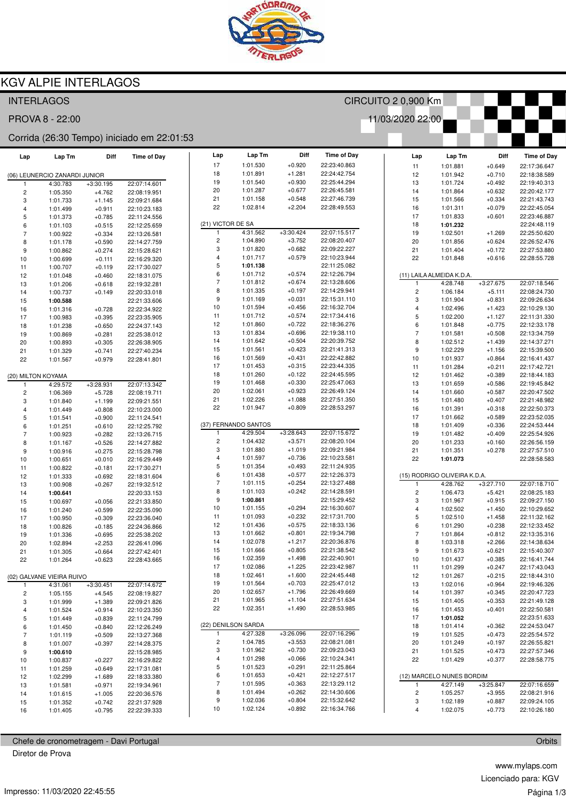

## **KGV ALPIE INTERLAGOS**

| CIRCUITO 2 0,900 Km<br><b>INTERLAGOS</b> |                               |             |                                            |                |                     |                      |                      |                              |                  |                         |                              |             |                              |
|------------------------------------------|-------------------------------|-------------|--------------------------------------------|----------------|---------------------|----------------------|----------------------|------------------------------|------------------|-------------------------|------------------------------|-------------|------------------------------|
|                                          | PROVA 8 - 22:00               |             |                                            |                |                     |                      |                      |                              | 11/03/2020 22:00 |                         |                              |             |                              |
|                                          |                               |             | Corrida (26:30 Tempo) iniciado em 22:01:53 |                |                     |                      |                      |                              |                  |                         |                              |             |                              |
| Lap                                      | Lap Tm                        | Diff        | <b>Time of Day</b>                         | Lap            |                     | Lap Tm               | Diff                 | <b>Time of Day</b>           |                  | Lap                     | Lap Tm                       | Diff        | <b>Time of Day</b>           |
|                                          |                               |             |                                            | 17             |                     | 1:01.530             | $+0.920$             | 22:23:40.863                 |                  | 11                      | 1:01.881                     | $+0.649$    | 22:17:36.647                 |
|                                          | (06) LEUNERCIO ZANARDI JUNIOR |             |                                            | 18             |                     | 1:01.891             | $+1.281$             | 22:24:42.754                 |                  | 12                      | 1:01.942                     | $+0.710$    | 22:18:38.589                 |
|                                          | 4:30.783                      | $+3:30.195$ | 22:07:14.601                               | 19             |                     | 1:01.540             | $+0.930$             | 22:25:44.294                 |                  | 13                      | 1:01.724                     | $+0.492$    | 22:19:40.313                 |
| $\overline{c}$                           | 1:05.350                      | $+4.762$    | 22:08:19.951                               | 20             |                     | 1:01.287             | $+0.677$             | 22:26:45.581                 |                  | 14                      | 1:01.864                     | $+0.632$    | 22:20:42.177                 |
| 3                                        | 1:01.733                      | $+1.145$    | 22:09:21.684                               | 21             |                     | 1:01.158             | $+0.548$             | 22:27:46.739                 |                  | 15                      | 1:01.566                     | $+0.334$    | 22:21:43.743                 |
| $\overline{4}$                           | 1:01.499                      | $+0.911$    | 22:10:23.183                               | 22             |                     | 1:02.814             | $+2.204$             | 22:28:49.553                 |                  | 16                      | 1:01.311                     | $+0.079$    | 22:22:45.054                 |
| 5                                        | 1:01.373                      | $+0.785$    | 22:11:24.556                               |                |                     |                      |                      |                              |                  | 17                      | 1:01.833                     | $+0.601$    | 22:23:46.887                 |
| 6                                        | 1:01.103                      | $+0.515$    | 22:12:25.659                               |                | (21) VICTOR DE SA   |                      |                      |                              |                  | 18                      | 1:01.232                     |             | 22:24:48.119                 |
| $\overline{7}$                           | 1:00.922                      | $+0.334$    | 22:13:26.581                               | $\mathbf{1}$   |                     | 4:31.562             | $+3:30.424$          | 22:07:15.517                 |                  | 19                      | 1:02.501                     | $+1.269$    | 22:25:50.620                 |
| 8                                        | 1:01.178                      | $+0.590$    | 22:14:27.759                               | $\overline{c}$ |                     | 1:04.890             | $+3.752$             | 22:08:20.407                 |                  | 20                      | 1:01.856                     | $+0.624$    | 22:26:52.476                 |
| 9                                        | 1:00.862                      | $+0.274$    | 22:15:28.621                               | 3              |                     | 1:01.820             | $+0.682$             | 22:09:22.227                 | 21               |                         | 1:01.404                     | $+0.172$    | 22:27:53.880                 |
| 10                                       | 1:00.699                      | $+0.111$    | 22:16:29.320                               | $\overline{4}$ |                     | 1:01.717             | $+0.579$             | 22:10:23.944                 |                  | 22                      | 1:01.848                     | $+0.616$    | 22:28:55.728                 |
| 11                                       | 1:00.707                      | $+0.119$    | 22:17:30.027                               | $\mathbf 5$    |                     | 1:01.138             |                      | 22:11:25.082                 |                  |                         |                              |             |                              |
| 12                                       | 1:01.048                      | $+0.460$    | 22:18:31.075                               | 6              |                     | 1:01.712             | $+0.574$             | 22:12:26.794                 |                  |                         | (11) LAILA ALMEIDA K.D.A.    |             |                              |
| 13                                       | 1:01.206                      | $+0.618$    | 22:19:32.281                               | $\overline{7}$ |                     | 1:01.812             | $+0.674$             | 22:13:28.606                 |                  |                         | 4:28.748                     | $+3:27.675$ | 22:07:18.546                 |
| 14                                       | 1:00.737                      | $+0.149$    | 22:20:33.018                               | 8              |                     | 1:01.335             | $+0.197$             | 22:14:29.941                 |                  | $\overline{\mathbf{c}}$ | 1:06.184                     | $+5.111$    | 22:08:24.730                 |
| 15                                       | 1:00.588                      |             | 22:21:33.606                               | 9              |                     | 1:01.169             | $+0.031$             | 22:15:31.110                 |                  | 3                       | 1:01.904                     | $+0.831$    | 22:09:26.634                 |
| 16                                       | 1:01.316                      | $+0.728$    | 22:22:34.922                               | $10$           |                     | 1:01.594             | $+0.456$             | 22:16:32.704                 |                  | 4                       | 1:02.496                     | $+1.423$    | 22:10:29.130                 |
| 17                                       | 1:00.983                      | $+0.395$    | 22:23:35.905                               | 11             |                     | 1:01.712             | $+0.574$             | 22:17:34.416                 |                  | 5                       | 1:02.200                     | $+1.127$    | 22:11:31.330                 |
| 18                                       | 1:01.238                      | $+0.650$    | 22:24:37.143                               | 12             |                     | 1:01.860             | $+0.722$             | 22:18:36.276                 |                  | 6                       | 1:01.848                     | $+0.775$    | 22:12:33.178                 |
| 19                                       | 1:00.869                      | $+0.281$    | 22:25:38.012                               | 13             |                     | 1:01.834             | $+0.696$             | 22:19:38.110                 |                  | $\overline{7}$          | 1:01.581                     | $+0.508$    | 22:13:34.759                 |
| 20                                       | 1:00.893                      | $+0.305$    | 22:26:38.905                               | 14             |                     | 1:01.642             | $+0.504$             | 22:20:39.752                 |                  | 8                       | 1:02.512                     | $+1.439$    | 22:14:37.271                 |
| 21                                       | 1:01.329                      | $+0.741$    | 22:27:40.234                               | 15             |                     | 1:01.561             | $+0.423$             | 22:21:41.313                 |                  | 9                       | 1:02.229                     | $+1.156$    | 22:15:39.500                 |
| 22                                       | 1:01.567                      | $+0.979$    | 22:28:41.801                               | 16             |                     | 1:01.569             | $+0.431$             | 22:22:42.882                 |                  | 10                      | 1:01.937                     | $+0.864$    | 22:16:41.437                 |
|                                          |                               |             |                                            | 17             |                     | 1:01.453             | $+0.315$             | 22:23:44.335                 |                  | 11                      | 1:01.284                     | $+0.211$    | 22:17:42.721                 |
| (20) MILTON KOYAMA                       |                               |             |                                            | 18             |                     | 1:01.260             | $+0.122$             | 22:24:45.595                 |                  | 12                      | 1:01.462                     | $+0.389$    | 22:18:44.183                 |
| $\mathbf{1}$                             | 4:29.572                      | $+3:28.931$ | 22:07:13.342                               | 19             |                     | 1:01.468             | $+0.330$             | 22:25:47.063                 |                  | 13                      | 1:01.659                     | $+0.586$    | 22:19:45.842                 |
| $\overline{\mathbf{c}}$                  | 1:06.369                      | $+5.728$    | 22:08:19.711                               | 20             |                     | 1:02.061             | $+0.923$             | 22:26:49.124                 |                  | 14                      | 1:01.660                     | $+0.587$    | 22:20:47.502                 |
| 3                                        | 1:01.840                      | $+1.199$    | 22:09:21.551                               | 21             |                     | 1:02.226             | $+1.088$             | 22:27:51.350                 |                  | 15                      | 1:01.480                     | $+0.407$    | 22:21:48.982                 |
| $\overline{4}$                           | 1:01.449                      | $+0.808$    | 22:10:23.000                               | 22             |                     | 1:01.947             | $+0.809$             | 22:28:53.297                 |                  | 16                      | 1:01.391                     | $+0.318$    | 22:22:50.373                 |
| 5                                        | 1:01.541                      | $+0.900$    | 22:11:24.541                               |                |                     |                      |                      |                              |                  | 17                      | 1:01.662                     | $+0.589$    | 22:23:52.035                 |
| 6                                        | 1:01.251                      | $+0.610$    | 22:12:25.792                               |                |                     | (37) FERNANDO SANTOS |                      |                              |                  | 18                      | 1:01.409                     | $+0.336$    | 22:24:53.444                 |
| $\overline{7}$                           | 1:00.923                      | $+0.282$    | 22:13:26.715                               | -1             |                     | 4:29.504             | $+3:28.643$          | 22:07:15.672                 |                  | 19                      | 1:01.482                     | $+0.409$    | 22:25:54.926                 |
| 8                                        | 1:01.167                      | $+0.526$    | 22:14:27.882                               | $\overline{c}$ |                     | 1:04.432             | $+3.571$             | 22:08:20.104                 |                  | 20                      | 1:01.233                     | $+0.160$    | 22:26:56.159                 |
| 9                                        | 1:00.916                      | $+0.275$    | 22:15:28.798                               | 3              |                     | 1:01.880             | $+1.019$             | 22:09:21.984                 | 21               |                         | 1:01.351                     | $+0.278$    | 22:27:57.510                 |
| 10                                       | 1:00.651                      | $+0.010$    | 22:16:29.449                               | $\overline{4}$ |                     | 1:01.597             | $+0.736$             | 22:10:23.581                 |                  | 22                      | 1:01.073                     |             | 22:28:58.583                 |
| 11                                       | 1:00.822                      | $+0.181$    | 22:17:30.271                               | $\mathbf 5$    |                     | 1:01.354             | $+0.493$             | 22:11:24.935                 |                  |                         |                              |             |                              |
|                                          |                               | $+0.692$    | 22:18:31.604                               | 6              |                     | 1:01.438             | $+0.577$             | 22:12:26.373                 |                  |                         | (15) RODRIGO OLIVEIRA K.D.A. |             |                              |
| 12                                       | 1:01.333                      |             |                                            | $\overline{7}$ |                     | 1:01.115             | $+0.254$             | 22:13:27.488                 |                  | -1                      | 4:28.762                     | $+3:27.710$ | 22:07:18.710                 |
| 13                                       | 1:00.908                      | $+0.267$    | 22:19:32.512                               | 8              |                     | 1:01.103             | $+0.242$             | 22:14:28.591                 |                  | $\overline{\mathbf{c}}$ | 1:06.473                     | $+5.421$    | 22:08:25.183                 |
| 14                                       | 1:00.641                      |             | 22:20:33.153                               | 9              |                     | 1:00.861             |                      | 22:15:29.452                 |                  | 3                       | 1:01.967                     | $+0.915$    |                              |
| 15                                       | 1:00.697                      | $+0.056$    | 22:21:33.850                               | 10             |                     | 1:01.155             | $+0.294$             | 22:16:30.607                 |                  | 4                       | 1:02.502                     |             | 22:09:27.150<br>22:10:29.652 |
| 16                                       | 1:01.240                      | $+0.599$    | 22:22:35.090                               | 11             |                     | 1:01.093             | $+0.232$             | 22:17:31.700                 |                  |                         |                              | $+1.450$    |                              |
| 17                                       | 1:00.950                      | $+0.309$    | 22:23:36.040                               |                |                     |                      |                      | 22:18:33.136                 |                  | 5                       | 1:02.510                     | $+1.458$    | 22:11:32.162                 |
| 18                                       | 1:00.826                      | $+0.185$    | 22:24:36.866                               | 12             |                     | 1:01.436             | $+0.575$             |                              |                  | 6                       | 1:01.290                     | $+0.238$    | 22:12:33.452                 |
| 19                                       | 1:01.336                      | $+0.695$    | 22:25:38.202                               | 13<br>14       |                     | 1:01.662<br>1:02.078 | $+0.801$<br>$+1.217$ | 22:19:34.798<br>22:20:36.876 |                  | $\overline{7}$          | 1:01.864                     | $+0.812$    | 22:13:35.316                 |
| 20                                       | 1:02.894                      | $+2.253$    | 22:26:41.096                               |                |                     |                      |                      | 22:21:38.542                 |                  | 8                       | 1:03.318                     | $+2.266$    | 22:14:38.634                 |
| 21                                       | 1:01.305                      | $+0.664$    | 22:27:42.401                               | 15             |                     | 1:01.666             | $+0.805$             |                              |                  | 9                       | 1:01.673                     | $+0.621$    | 22:15:40.307                 |
| 22                                       | 1:01.264                      | $+0.623$    | 22:28:43.665                               | 16             |                     | 1:02.359             | $+1.498$             | 22:22:40.901                 |                  | 10                      | 1:01.437                     | $+0.385$    | 22:16:41.744                 |
|                                          |                               |             |                                            | 17             |                     | 1:02.086             | $+1.225$             | 22:23:42.987                 |                  | 11                      | 1:01.299                     | $+0.247$    | 22:17:43.043                 |
|                                          | (02) GALVANE VIEIRA RUIVO     |             |                                            | 18             |                     | 1:02.461             | $+1.600$             | 22:24:45.448                 |                  | 12                      | 1:01.267                     | $+0.215$    | 22:18:44.310                 |
| $\mathbf{1}$                             | 4:31.061                      | $+3:30.451$ | 22:07:14.672                               | 19             |                     | 1:01.564             | $+0.703$             | 22:25:47.012                 |                  | 13                      | 1:02.016                     | $+0.964$    | 22:19:46.326                 |
| 2                                        | 1:05.155                      | $+4.545$    | 22:08:19.827                               | 20             |                     | 1:02.657             | $+1.796$             | 22:26:49.669                 | 14               |                         | 1:01.397                     | $+0.345$    | 22:20:47.723                 |
| 3                                        | 1:01.999                      | $+1.389$    | 22:09:21.826                               | 21             |                     | 1:01.965             | $+1.104$             | 22:27:51.634                 |                  | 15                      | 1:01.405                     | $+0.353$    | 22:21:49.128                 |
| 4                                        | 1:01.524                      | $+0.914$    | 22:10:23.350                               | 22             |                     | 1:02.351             | $+1.490$             | 22:28:53.985                 |                  | 16                      | 1:01.453                     | $+0.401$    | 22:22:50.581                 |
| 5                                        | 1:01.449                      | $+0.839$    | 22:11:24.799                               |                |                     |                      |                      |                              |                  | 17                      | 1:01.052                     |             | 22:23:51.633                 |
| 6                                        | 1:01.450                      | $+0.840$    | 22:12:26.249                               |                | (22) DENILSON SARDA |                      |                      |                              |                  | 18                      | 1:01.414                     | $+0.362$    | 22:24:53.047                 |
| 7                                        | 1:01.119                      | $+0.509$    | 22:13:27.368                               | $\mathbf{1}$   |                     | 4:27.328             | $+3:26.096$          | 22:07:16.296                 |                  | 19                      | 1:01.525                     | $+0.473$    | 22:25:54.572                 |
| 8                                        | 1:01.007                      | $+0.397$    | 22:14:28.375                               | $\overline{c}$ |                     | 1:04.785             | $+3.553$             | 22:08:21.081                 |                  | 20                      | 1:01.249                     | $+0.197$    | 22:26:55.821                 |
| 9                                        | 1:00.610                      |             | 22:15:28.985                               | 3              |                     | 1:01.962             | $+0.730$             | 22:09:23.043                 | 21               |                         | 1:01.525                     | $+0.473$    | 22:27:57.346                 |
| 10                                       | 1:00.837                      | $+0.227$    | 22:16:29.822                               | $\overline{a}$ |                     | 1:01.298             | $+0.066$             | 22:10:24.341                 | 22               |                         | 1:01.429                     | $+0.377$    | 22:28:58.775                 |
| 11                                       | 1:01.259                      | $+0.649$    | 22:17:31.081                               | $\,$ 5 $\,$    |                     | 1:01.523             | $+0.291$             | 22:11:25.864                 |                  |                         |                              |             |                              |
| 12                                       | 1:02.299                      | $+1.689$    | 22:18:33.380                               | 6              |                     | 1:01.653             | $+0.421$             | 22:12:27.517                 |                  |                         | (12) MARCELO NUNES BORDIM    |             |                              |
| 13                                       | 1:01.581                      | $+0.971$    | 22:19:34.961                               | $\sqrt{7}$     |                     | 1:01.595             | $+0.363$             | 22:13:29.112                 |                  | $\mathbf{1}$            | 4:27.149                     | $+3:25.847$ | 22:07:16.659                 |
| 14                                       | 1:01.615                      | $+1.005$    | 22:20:36.576                               | 8              |                     | 1:01.494             | $+0.262$             | 22:14:30.606                 |                  | $\overline{\mathbf{c}}$ | 1:05.257                     | $+3.955$    | 22:08:21.916                 |
| 15                                       | 1:01.352                      | $+0.742$    | 22:21:37.928                               | 9              |                     | 1:02.036             | $+0.804$             | 22:15:32.642                 |                  | 3                       | 1:02.189                     | $+0.887$    | 22:09:24.105                 |
| 16                                       | 1:01.405                      | $+0.795$    | 22:22:39.333                               | 10             |                     | 1:02.124             | $+0.892$             | 22:16:34.766                 |                  | 4                       | 1:02.075                     | $+0.773$    | 22:10:26.180                 |
|                                          |                               |             |                                            |                |                     |                      |                      |                              |                  |                         |                              |             |                              |

Chefe de cronometragem - Davi Portugal

Diretor de Prova

www.mylaps.com Licenciado para: KGV Página 1/3

Orbits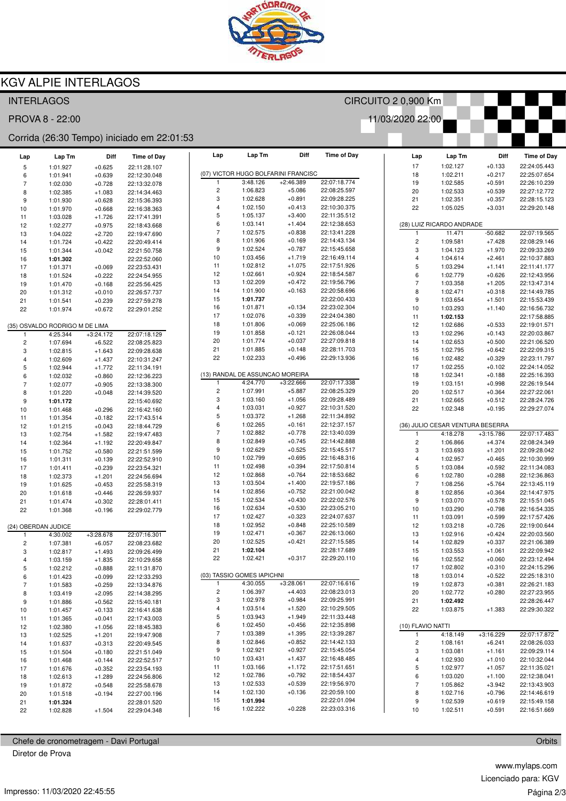

CIRCUITO 2 0,900 Km

11/03/2020 22:00

### **KGV ALPIE INTERLAGOS**

#### **INTERLAGOS**

PROVA 8 - 22:00

#### Corrida (26:30 Tempo) iniciado em 22:01:53

| Lap                     | Lap Tm                         | Diff                 | <b>Time of Day</b>           |                | Lap                     | Lap Tm                     | Diff                                | <b>Time of Day</b>           | Lap               | Lap Tm                           | Diff                 | <b>Time of Day</b>           |
|-------------------------|--------------------------------|----------------------|------------------------------|----------------|-------------------------|----------------------------|-------------------------------------|------------------------------|-------------------|----------------------------------|----------------------|------------------------------|
| 5                       | 1:01.927                       | $+0.625$             | 22:11:28.107                 |                |                         |                            |                                     |                              | 17                | 1:02.127                         | $+0.133$             | 22:24:05.443                 |
| 6                       | 1:01.941                       | $+0.639$             | 22:12:30.048                 |                |                         |                            | (07) VICTOR HUGO BOLFARINI FRANCISC |                              | 18                | 1:02.211                         | $+0.217$             | 22:25:07.654                 |
| $\overline{7}$          | 1:02.030                       | $+0.728$             | 22:13:32.078                 |                | $\mathbf{1}$            | 3:48.126                   | $+2:46.389$                         | 22:07:18.774                 | 19                | 1:02.585                         | $+0.591$             | 22:26:10.239                 |
| 8                       | 1:02.385                       | $+1.083$             | 22:14:34.463                 |                | $\overline{\mathbf{c}}$ | 1:06.823                   | $+5.086$                            | 22:08:25.597                 | 20                | 1:02.533                         | $+0.539$             | 22:27:12.772                 |
| 9                       | 1:01.930                       | $+0.628$             | 22:15:36.393                 |                | 3                       | 1:02.628                   | $+0.891$                            | 22:09:28.225                 | 21                | 1:02.351                         | $+0.357$             | 22:28:15.123                 |
| 10                      | 1:01.970                       | $+0.668$             | 22:16:38.363                 |                | $\overline{4}$          | 1:02.150                   | $+0.413$                            | 22:10:30.375                 | 22                | 1:05.025                         | $+3.031$             | 22:29:20.148                 |
| 11                      | 1:03.028                       | $+1.726$             | 22:17:41.391                 |                | 5                       | 1:05.137                   | $+3.400$                            | 22:11:35.512                 |                   |                                  |                      |                              |
| 12                      | 1:02.277                       | $+0.975$             | 22:18:43.668                 |                | 6                       | 1:03.141                   | $+1.404$                            | 22:12:38.653                 |                   | (28) LUIZ RICARDO ANDRADE        |                      |                              |
| 13                      | 1:04.022                       | $+2.720$             | 22:19:47.690                 |                | $\overline{7}$          | 1:02.575                   | $+0.838$                            | 22:13:41.228                 | 1                 | 11.471                           | $-50.682$            | 22:07:19.565                 |
| 14                      | 1:01.724                       | $+0.422$             | 22:20:49.414                 |                | 8                       | 1:01.906                   | $+0.169$                            | 22:14:43.134                 | $\overline{c}$    | 1:09.581                         | $+7.428$             | 22:08:29.146                 |
| 15                      | 1:01.344                       | $+0.042$             | 22:21:50.758                 |                | 9                       | 1:02.524                   | $+0.787$                            | 22:15:45.658                 | 3                 | 1:04.123                         | $+1.970$             | 22:09:33.269                 |
| 16                      | 1:01.302                       |                      | 22:22:52.060                 | 10             |                         | 1:03.456                   | $+1.719$                            | 22:16:49.114                 | 4                 | 1:04.614                         | $+2.461$             | 22:10:37.883                 |
| 17                      | 1:01.371                       | $+0.069$             | 22:23:53.431                 | 11             |                         | 1:02.812                   | $+1.075$                            | 22:17:51.926                 | 5                 | 1:03.294                         | $+1.141$             | 22:11:41.177                 |
| 18                      | 1:01.524                       | $+0.222$             | 22:24:54.955                 | 12             |                         | 1:02.661                   | $+0.924$                            | 22:18:54.587                 | 6                 | 1:02.779                         | $+0.626$             | 22:12:43.956                 |
| 19                      | 1:01.470                       | $+0.168$             | 22:25:56.425                 | 13             |                         | 1:02.209                   | $+0.472$                            | 22:19:56.796                 | $\overline{7}$    | 1:03.358                         | $+1.205$             | 22:13:47.314                 |
| 20                      | 1:01.312                       | $+0.010$             | 22:26:57.737                 | 14             |                         | 1:01.900                   | $+0.163$                            | 22:20:58.696                 | 8                 | 1:02.471                         | $+0.318$             | 22:14:49.785                 |
| 21                      | 1:01.541                       | $+0.239$             | 22:27:59.278                 | 15             |                         | 1:01.737                   |                                     | 22:22:00.433                 | 9                 | 1:03.654                         | $+1.501$             | 22:15:53.439                 |
| 22                      | 1:01.974                       | $+0.672$             | 22:29:01.252                 | 16             |                         | 1:01.871                   | $+0.134$                            | 22:23:02.304                 | 10                | 1:03.293                         | $+1.140$             | 22:16:56.732                 |
|                         |                                |                      |                              | 17             |                         | 1:02.076                   | $+0.339$<br>$+0.069$                | 22:24:04.380<br>22:25:06.186 | 11                | 1:02.153                         |                      | 22:17:58.885                 |
|                         | (35) OSVALDO RODRIGO M DE LIMA |                      |                              | 18<br>19       |                         | 1:01.806                   | $+0.121$                            | 22:26:08.044                 | 12                | 1:02.686                         | $+0.533$             | 22:19:01.571                 |
|                         | 4:25.344                       | $+3:24.172$          | 22:07:18.129                 | 20             |                         | 1:01.858<br>1:01.774       | $+0.037$                            | 22:27:09.818                 | 13                | 1:02.296                         | $+0.143$             | 22:20:03.867                 |
| $\overline{\mathbf{c}}$ | 1:07.694                       | $+6.522$             | 22:08:25.823                 | 21             |                         | 1:01.885                   | $+0.148$                            | 22:28:11.703                 | 14                | 1:02.653                         | $+0.500$             | 22:21:06.520                 |
| 3                       | 1:02.815                       | $+1.643$             | 22:09:28.638                 | 22             |                         | 1:02.233                   | $+0.496$                            | 22:29:13.936                 | 15                | 1:02.795                         | $+0.642$             | 22:22:09.315                 |
| 4                       | 1:02.609                       | $+1.437$             | 22:10:31.247                 |                |                         |                            |                                     |                              | 16                | 1:02.482                         | $+0.329$             | 22:23:11.797<br>22:24:14.052 |
| 5                       | 1:02.944                       | $+1.772$             | 22:11:34.191                 |                |                         |                            | (13) RANDAL DE ASSUNCAO MOREIRA     |                              | 17                | 1:02.255                         | $+0.102$             | 22:25:16.393                 |
| 6                       | 1:02.032                       | $+0.860$             | 22:12:36.223                 | $\overline{1}$ |                         | 4:24.770                   | $+3:22.666$                         | 22:07:17.338                 | 18                | 1:02.341                         | $+0.188$             |                              |
| $\overline{7}$          | 1:02.077                       | $+0.905$             | 22:13:38.300                 |                | 2                       | 1:07.991                   | $+5.887$                            | 22:08:25.329                 | 19<br>20          | 1:03.151<br>1:02.517             | $+0.998$             | 22:26:19.544<br>22:27:22.061 |
| 8                       | 1:01.220                       | $+0.048$             | 22:14:39.520                 |                | 3                       | 1:03.160                   | $+1.056$                            | 22:09:28.489                 | 21                | 1:02.665                         | $+0.364$<br>$+0.512$ | 22:28:24.726                 |
| 9                       | 1:01.172                       |                      | 22:15:40.692                 |                | 4                       | 1:03.031                   | $+0.927$                            | 22:10:31.520                 | 22                | 1:02.348                         | $+0.195$             | 22:29:27.074                 |
| 10                      | 1:01.468                       | $+0.296$             | 22:16:42.160                 |                | 5                       | 1:03.372                   | $+1.268$                            | 22:11:34.892                 |                   |                                  |                      |                              |
| 11                      | 1:01.354                       | $+0.182$<br>$+0.043$ | 22:17:43.514<br>22:18:44.729 |                | 6                       | 1:02.265                   | $+0.161$                            | 22:12:37.157                 |                   | (36) JULIO CESAR VENTURA BESERRA |                      |                              |
| 12<br>13                | 1:01.215<br>1:02.754           | $+1.582$             | 22:19:47.483                 |                | $\overline{7}$          | 1:02.882                   | $+0.778$                            | 22:13:40.039                 | $\mathbf{1}$      | 4:18.278                         | $+3:15.786$          | 22:07:17.483                 |
| 14                      | 1:02.364                       | $+1.192$             | 22:20:49.847                 |                | 8                       | 1:02.849                   | $+0.745$                            | 22:14:42.888                 | $\sqrt{2}$        | 1:06.866                         | $+4.374$             | 22:08:24.349                 |
| 15                      | 1:01.752                       | $+0.580$             | 22:21:51.599                 |                | 9                       | 1:02.629                   | $+0.525$                            | 22:15:45.517                 | 3                 | 1:03.693                         | $+1.201$             | 22:09:28.042                 |
| 16                      | 1:01.311                       | $+0.139$             | 22:22:52.910                 | 10             |                         | 1:02.799                   | $+0.695$                            | 22:16:48.316                 | 4                 | 1:02.957                         | $+0.465$             | 22:10:30.999                 |
| 17                      | 1:01.411                       | $+0.239$             | 22:23:54.321                 | 11             |                         | 1:02.498                   | $+0.394$                            | 22:17:50.814                 | 5                 | 1:03.084                         | $+0.592$             | 22:11:34.083                 |
| 18                      | 1:02.373                       | $+1.201$             | 22:24:56.694                 | 12             |                         | 1:02.868                   | $+0.764$                            | 22:18:53.682                 | 6                 | 1:02.780                         | $+0.288$             | 22:12:36.863                 |
| 19                      | 1:01.625                       | $+0.453$             | 22:25:58.319                 | 13             |                         | 1:03.504                   | $+1.400$                            | 22:19:57.186                 | $\overline{7}$    | 1:08.256                         | $+5.764$             | 22:13:45.119                 |
| 20                      | 1:01.618                       | $+0.446$             | 22:26:59.937                 | 14             |                         | 1:02.856                   | $+0.752$                            | 22:21:00.042                 | 8                 | 1:02.856                         | $+0.364$             | 22:14:47.975                 |
| 21                      | 1:01.474                       | $+0.302$             | 22:28:01.411                 | 15             |                         | 1:02.534                   | $+0.430$                            | 22:22:02.576                 | 9                 | 1:03.070                         | $+0.578$             | 22:15:51.045                 |
| 22                      | 1:01.368                       | $+0.196$             | 22:29:02.779                 | 16             |                         | 1:02.634                   | $+0.530$                            | 22:23:05.210                 | 10                | 1:03.290                         | $+0.798$             | 22:16:54.335                 |
|                         |                                |                      |                              | 17             |                         | 1:02.427                   | $+0.323$                            | 22:24:07.637                 | 11                | 1:03.091                         | $+0.599$             | 22:17:57.426                 |
|                         | (24) OBERDAN JUDICE            |                      |                              | 18             |                         | 1:02.952                   | $+0.848$                            | 22:25:10.589                 | 12                | 1:03.218                         | $+0.726$             | 22:19:00.644                 |
|                         | 4:30.002                       | $+3:28.678$          | 22:07:16.301                 | 19             |                         | 1:02.471                   | $+0.367$                            | 22:26:13.060                 | 13                | 1:02.916                         | $+0.424$             | 22:20:03.560                 |
| $\overline{\mathbf{c}}$ | 1:07.381                       | $+6.057$             | 22:08:23.682                 | 20             |                         | 1:02.525                   | $+0.421$                            | 22:27:15.585                 | 14                | 1:02.829                         | $+0.337$             | 22:21:06.389                 |
| 3                       | 1:02.817                       | $+1.493$             | 22:09:26.499                 | 21             |                         | 1:02.104                   |                                     | 22:28:17.689                 | 15                | 1:03.553                         | $+1.061$             | 22:22:09.942                 |
| 4                       | 1:03.159                       | $+1.835$             | 22:10:29.658                 | 22             |                         | 1:02.421                   | $+0.317$                            | 22:29:20.110                 | 16                | 1:02.552                         | $+0.060$             | 22:23:12.494                 |
| 5                       | 1:02.212                       | $+0.888$             | 22:11:31.870                 |                |                         |                            |                                     |                              | 17                | 1:02.802                         | $+0.310$             | 22:24:15.296                 |
|                         | 1:01.423                       | $+0.099$             | 22:12:33.293                 |                |                         | (03) TASSIO GOMES IAPICHNI |                                     |                              | 18                | 1:03.014                         | $+0.522$             | 22:25:18.310                 |
| 7                       | 1:01.583                       | $+0.259$             | 22:13:34.876                 |                | $\mathbf{1}$            | 4:30.055                   | $+3:28.061$                         | 22:07:16.616                 | 19                | 1:02.873                         | $+0.381$             | 22:26:21.183                 |
| 8                       | 1:03.419                       | $+2.095$             | 22:14:38.295                 |                | $\overline{c}$          | 1:06.397                   | $+4.403$                            | 22:08:23.013                 | 20                | 1:02.772                         | $+0.280$             | 22:27:23.955                 |
| 9                       | 1:01.886                       | $+0.562$             | 22:15:40.181                 |                | 3                       | 1:02.978                   | $+0.984$                            | 22:09:25.991                 | 21                | 1:02.492                         |                      | 22:28:26.447                 |
| 10                      | 1:01.457                       | $+0.133$             | 22:16:41.638                 |                | 4                       | 1:03.514                   | $+1.520$                            | 22:10:29.505                 | 22                | 1:03.875                         | $+1.383$             | 22:29:30.322                 |
| 11                      | 1:01.365                       | $+0.041$             | 22:17:43.003                 |                | 5                       | 1:03.943                   | $+1.949$                            | 22:11:33.448                 |                   |                                  |                      |                              |
| 12                      | 1:02.380                       | $+1.056$             | 22:18:45.383                 |                | 6                       | 1:02.450                   | $+0.456$                            | 22:12:35.898                 | (10) FLAVIO NATTI |                                  |                      |                              |
| 13                      | 1:02.525                       | $+1.201$             | 22:19:47.908                 |                | $\overline{7}$          | 1:03.389                   | $+1.395$                            | 22:13:39.287                 | $\mathbf{1}$      | 4:18.149                         | $+3:16.229$          | 22:07:17.872                 |
| 14                      | 1:01.637                       | $+0.313$             | 22:20:49.545                 |                | 8                       | 1:02.846                   | $+0.852$                            | 22:14:42.133                 | 2                 | 1:08.161                         | $+6.241$             | 22:08:26.033                 |
| 15                      | 1:01.504                       | $+0.180$             | 22:21:51.049                 |                | 9                       | 1:02.921                   | $+0.927$                            | 22:15:45.054                 | 3                 | 1:03.081                         | $+1.161$             | 22:09:29.114                 |
| 16                      | 1:01.468                       | $+0.144$             | 22:22:52.517                 | 10             |                         | 1:03.431                   | $+1.437$                            | 22:16:48.485                 | 4                 | 1:02.930                         | $+1.010$             | 22:10:32.044                 |
| 17                      | 1:01.676                       | $+0.352$             | 22:23:54.193                 | 11             |                         | 1:03.166                   | $+1.172$                            | 22:17:51.651                 | 5                 | 1:02.977                         | $+1.057$             | 22:11:35.021                 |
| 18                      | 1:02.613                       | $+1.289$             | 22:24:56.806                 | 12             |                         | 1:02.786                   | $+0.792$                            | 22:18:54.437                 | 6                 | 1:03.020                         | $+1.100$             | 22:12:38.041                 |
| 19                      | 1:01.872                       | $+0.548$             | 22:25:58.678                 | 13             |                         | 1:02.533                   | $+0.539$                            | 22:19:56.970                 | $\overline{7}$    | 1:05.862                         | $+3.942$             | 22:13:43.903                 |
| 20                      | 1:01.518                       | $+0.194$             | 22:27:00.196                 | 14             |                         | 1:02.130                   | $+0.136$                            | 22:20:59.100                 | 8                 | 1:02.716                         | $+0.796$             | 22:14:46.619                 |
| 21                      | 1:01.324                       |                      | 22:28:01.520                 | 15             |                         | 1:01.994                   |                                     | 22:22:01.094                 | 9                 | 1:02.539                         | $+0.619$             | 22:15:49.158                 |
| 22                      | 1:02.828                       | $+1.504$             | 22:29:04.348                 | 16             |                         | 1:02.222                   | $+0.228$                            | 22:23:03.316                 | 10                | 1:02.511                         | $+0.591$             | 22:16:51.669                 |
|                         |                                |                      |                              |                |                         |                            |                                     |                              |                   |                                  |                      |                              |

Chefe de cronometragem - Davi Portugal

Diretor de Prova

www.mylaps.com Licenciado para: KGV Página 2/3

Orbits